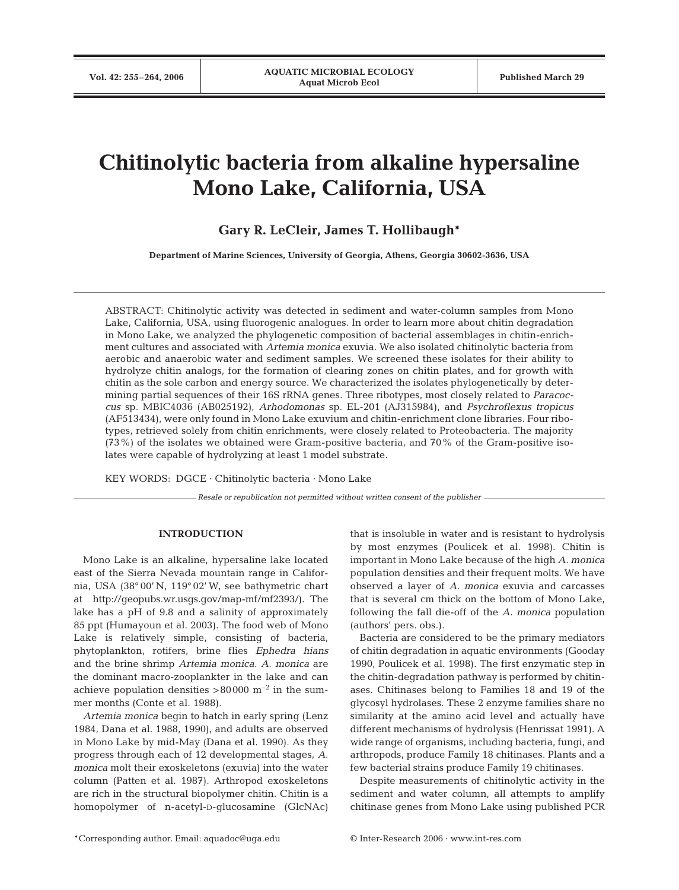# **Chitinolytic bacteria from alkaline hypersaline Mono Lake, California, USA**

**Gary R. LeCleir, James T. Hollibaugh\***

**Department of Marine Sciences, University of Georgia, Athens, Georgia 30602-3636, USA**

ABSTRACT: Chitinolytic activity was detected in sediment and water-column samples from Mono Lake, California, USA, using fluorogenic analogues. In order to learn more about chitin degradation in Mono Lake, we analyzed the phylogenetic composition of bacterial assemblages in chitin-enrichment cultures and associated with *Artemia monica* exuvia. We also isolated chitinolytic bacteria from aerobic and anaerobic water and sediment samples. We screened these isolates for their ability to hydrolyze chitin analogs, for the formation of clearing zones on chitin plates, and for growth with chitin as the sole carbon and energy source. We characterized the isolates phylogenetically by determining partial sequences of their 16S rRNA genes. Three ribotypes, most closely related to *Paracoccus* sp. MBIC4036 (AB025192), *Arhodomonas* sp. EL-201 (AJ315984), and *Psychroflexus tropicus* (AF513434), were only found in Mono Lake exuvium and chitin-enrichment clone libraries. Four ribotypes, retrieved solely from chitin enrichments, were closely related to Proteobacteria. The majority (73%) of the isolates we obtained were Gram-positive bacteria, and 70% of the Gram-positive isolates were capable of hydrolyzing at least 1 model substrate.

KEY WORDS: DGCE · Chitinolytic bacteria · Mono Lake

*Resale or republication not permitted without written consent of the publisher*

## **INTRODUCTION**

Mono Lake is an alkaline, hypersaline lake located east of the Sierra Nevada mountain range in California, USA (38° 00' N, 119° 02' W, see bathymetric chart at http://geopubs.wr.usgs.gov/map-mf/mf2393/). The lake has a pH of 9.8 and a salinity of approximately 85 ppt (Humayoun et al. 2003). The food web of Mono Lake is relatively simple, consisting of bacteria, phytoplankton, rotifers, brine flies *Ephedra hians* and the brine shrimp *Artemia monica*. *A. monica* are the dominant macro-zooplankter in the lake and can achieve population densities  $>80000$  m<sup>-2</sup> in the summer months (Conte et al. 1988).

*Artemia monica* begin to hatch in early spring (Lenz 1984, Dana et al. 1988, 1990), and adults are observed in Mono Lake by mid-May (Dana et al. 1990). As they progress through each of 12 developmental stages, *A. monica* molt their exoskeletons (exuvia) into the water column (Patten et al. 1987). Arthropod exoskeletons are rich in the structural biopolymer chitin. Chitin is a homopolymer of n-acetyl-D-glucosamine (GlcNAc) that is insoluble in water and is resistant to hydrolysis by most enzymes (Poulicek et al. 1998). Chitin is important in Mono Lake because of the high *A. monica* population densities and their frequent molts. We have observed a layer of *A. monica* exuvia and carcasses that is several cm thick on the bottom of Mono Lake, following the fall die-off of the *A. monica* population (authors' pers. obs.).

Bacteria are considered to be the primary mediators of chitin degradation in aquatic environments (Gooday 1990, Poulicek et al. 1998). The first enzymatic step in the chitin-degradation pathway is performed by chitinases. Chitinases belong to Families 18 and 19 of the glycosyl hydrolases. These 2 enzyme families share no similarity at the amino acid level and actually have different mechanisms of hydrolysis (Henrissat 1991). A wide range of organisms, including bacteria, fungi, and arthropods, produce Family 18 chitinases. Plants and a few bacterial strains produce Family 19 chitinases.

Despite measurements of chitinolytic activity in the sediment and water column, all attempts to amplify chitinase genes from Mono Lake using published PCR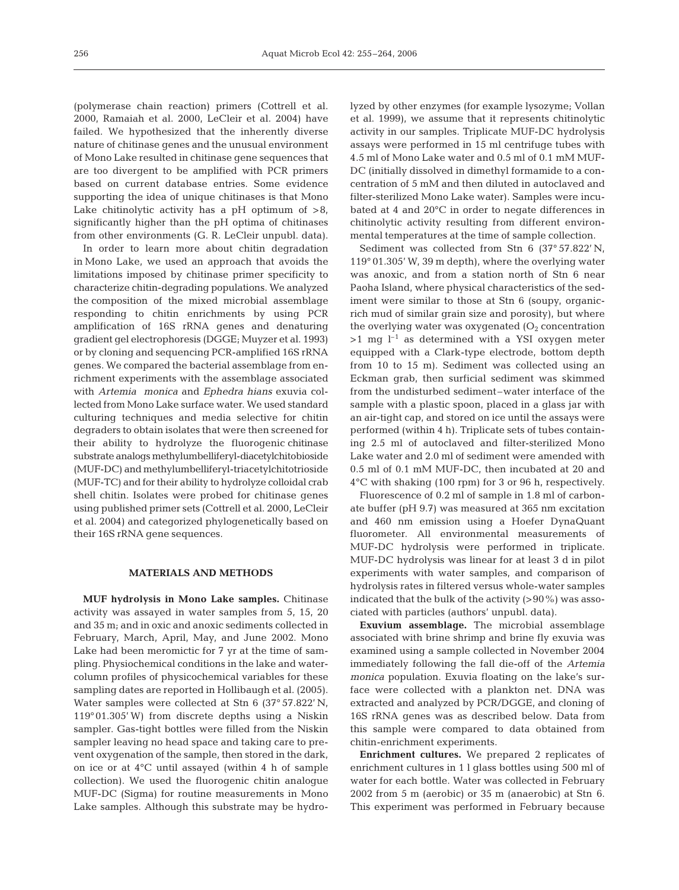(polymerase chain reaction) primers (Cottrell et al. 2000, Ramaiah et al. 2000, LeCleir et al. 2004) have failed. We hypothesized that the inherently diverse nature of chitinase genes and the unusual environment of Mono Lake resulted in chitinase gene sequences that are too divergent to be amplified with PCR primers based on current database entries. Some evidence supporting the idea of unique chitinases is that Mono Lake chitinolytic activity has a pH optimum of  $>8$ , significantly higher than the pH optima of chitinases from other environments (G. R. LeCleir unpubl. data).

In order to learn more about chitin degradation in Mono Lake, we used an approach that avoids the limitations imposed by chitinase primer specificity to characterize chitin-degrading populations. We analyzed the composition of the mixed microbial assemblage responding to chitin enrichments by using PCR amplification of 16S rRNA genes and denaturing gradient gel electrophoresis (DGGE; Muyzer et al. 1993) or by cloning and sequencing PCR-amplified 16S rRNA genes. We compared the bacterial assemblage from enrichment experiments with the assemblage associated with *Artemia monica* and *Ephedra hians* exuvia collected from Mono Lake surface water. We used standard culturing techniques and media selective for chitin degraders to obtain isolates that were then screened for their ability to hydrolyze the fluorogenic chitinase substrate analogs methylumbelliferyl-diacetylchitobioside (MUF-DC) and methylumbelliferyl-triacetylchitotrioside (MUF-TC) and for their ability to hydrolyze colloidal crab shell chitin. Isolates were probed for chitinase genes using published primer sets (Cottrell et al. 2000, LeCleir et al. 2004) and categorized phylogenetically based on their 16S rRNA gene sequences.

## **MATERIALS AND METHODS**

**MUF hydrolysis in Mono Lake samples.** Chitinase activity was assayed in water samples from 5, 15, 20 and 35 m; and in oxic and anoxic sediments collected in February, March, April, May, and June 2002. Mono Lake had been meromictic for 7 yr at the time of sampling. Physiochemical conditions in the lake and watercolumn profiles of physicochemical variables for these sampling dates are reported in Hollibaugh et al. (2005). Water samples were collected at Stn 6 (37° 57.822' N, 119°01.305' W) from discrete depths using a Niskin sampler. Gas-tight bottles were filled from the Niskin sampler leaving no head space and taking care to prevent oxygenation of the sample, then stored in the dark, on ice or at 4°C until assayed (within 4 h of sample collection). We used the fluorogenic chitin analogue MUF-DC (Sigma) for routine measurements in Mono Lake samples. Although this substrate may be hydrolyzed by other enzymes (for example lysozyme; Vollan et al. 1999), we assume that it represents chitinolytic activity in our samples. Triplicate MUF-DC hydrolysis assays were performed in 15 ml centrifuge tubes with 4.5 ml of Mono Lake water and 0.5 ml of 0.1 mM MUF-DC (initially dissolved in dimethyl formamide to a concentration of 5 mM and then diluted in autoclaved and filter-sterilized Mono Lake water). Samples were incubated at 4 and 20°C in order to negate differences in chitinolytic activity resulting from different environmental temperatures at the time of sample collection.

Sediment was collected from Stn 6 (37° 57.822' N, 119° 01.305' W, 39 m depth), where the overlying water was anoxic, and from a station north of Stn 6 near Paoha Island, where physical characteristics of the sediment were similar to those at Stn 6 (soupy, organicrich mud of similar grain size and porosity), but where the overlying water was oxygenated  $(O<sub>2</sub>$  concentration  $>1$  mg l<sup>-1</sup> as determined with a YSI oxygen meter equipped with a Clark-type electrode, bottom depth from 10 to 15 m). Sediment was collected using an Eckman grab, then surficial sediment was skimmed from the undisturbed sediment–water interface of the sample with a plastic spoon, placed in a glass jar with an air-tight cap, and stored on ice until the assays were performed (within 4 h). Triplicate sets of tubes containing 2.5 ml of autoclaved and filter-sterilized Mono Lake water and 2.0 ml of sediment were amended with 0.5 ml of 0.1 mM MUF-DC, then incubated at 20 and 4°C with shaking (100 rpm) for 3 or 96 h, respectively.

Fluorescence of 0.2 ml of sample in 1.8 ml of carbonate buffer (pH 9.7) was measured at 365 nm excitation and 460 nm emission using a Hoefer DynaQuant fluorometer. All environmental measurements of MUF-DC hydrolysis were performed in triplicate. MUF-DC hydrolysis was linear for at least 3 d in pilot experiments with water samples, and comparison of hydrolysis rates in filtered versus whole-water samples indicated that the bulk of the activity  $(>90\%)$  was associated with particles (authors' unpubl. data).

**Exuvium assemblage.** The microbial assemblage associated with brine shrimp and brine fly exuvia was examined using a sample collected in November 2004 immediately following the fall die-off of the *Artemia monica* population. Exuvia floating on the lake's surface were collected with a plankton net. DNA was extracted and analyzed by PCR/DGGE, and cloning of 16S rRNA genes was as described below. Data from this sample were compared to data obtained from chitin-enrichment experiments.

**Enrichment cultures.** We prepared 2 replicates of enrichment cultures in 1 l glass bottles using 500 ml of water for each bottle. Water was collected in February 2002 from 5 m (aerobic) or 35 m (anaerobic) at Stn 6. This experiment was performed in February because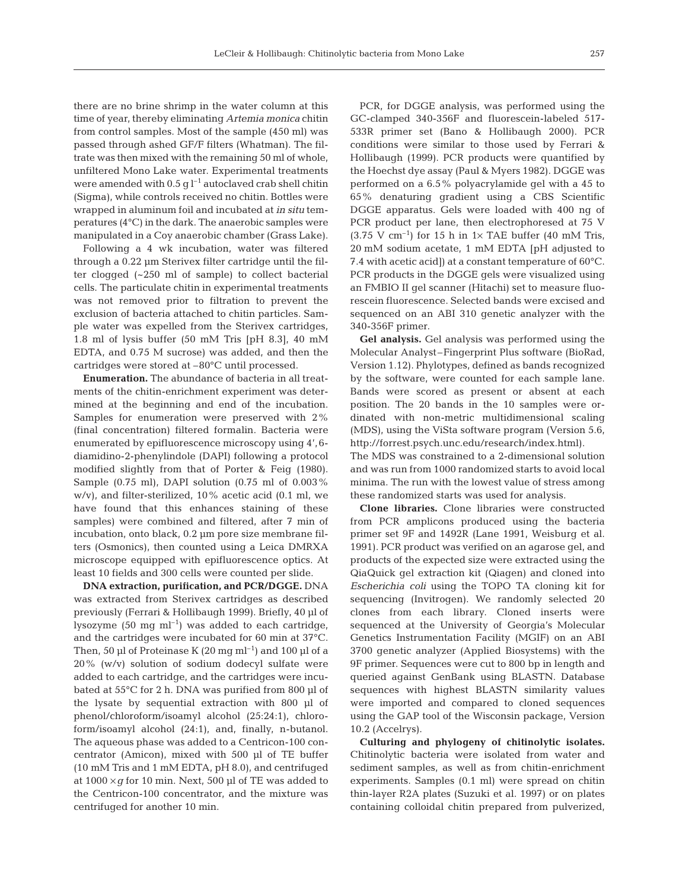there are no brine shrimp in the water column at this time of year, thereby eliminating *Artemia monica* chitin from control samples. Most of the sample (450 ml) was passed through ashed GF/F filters (Whatman). The filtrate was then mixed with the remaining 50 ml of whole, unfiltered Mono Lake water. Experimental treatments were amended with  $0.5$  g  $l^{-1}$  autoclaved crab shell chitin (Sigma), while controls received no chitin. Bottles were wrapped in aluminum foil and incubated at *in situ* temperatures (4°C) in the dark. The anaerobic samples were manipulated in a Coy anaerobic chamber (Grass Lake).

Following a 4 wk incubation, water was filtered through a 0.22 µm Sterivex filter cartridge until the filter clogged (~250 ml of sample) to collect bacterial cells. The particulate chitin in experimental treatments was not removed prior to filtration to prevent the exclusion of bacteria attached to chitin particles. Sample water was expelled from the Sterivex cartridges, 1.8 ml of lysis buffer (50 mM Tris [pH 8.3], 40 mM EDTA, and 0.75 M sucrose) was added, and then the cartridges were stored at –80°C until processed.

**Enumeration.** The abundance of bacteria in all treatments of the chitin-enrichment experiment was determined at the beginning and end of the incubation. Samples for enumeration were preserved with 2% (final concentration) filtered formalin. Bacteria were enumerated by epifluorescence microscopy using 4',6 diamidino-2-phenylindole (DAPI) following a protocol modified slightly from that of Porter & Feig (1980). Sample (0.75 ml), DAPI solution (0.75 ml of 0.003% w/v), and filter-sterilized, 10% acetic acid (0.1 ml, we have found that this enhances staining of these samples) were combined and filtered, after 7 min of incubation, onto black, 0.2 µm pore size membrane filters (Osmonics), then counted using a Leica DMRXA microscope equipped with epifluorescence optics. At least 10 fields and 300 cells were counted per slide.

**DNA extraction, purification, and PCR/DGGE.** DNA was extracted from Sterivex cartridges as described previously (Ferrari & Hollibaugh 1999). Briefly, 40 µl of lysozyme  $(50 \text{ mg ml}^{-1})$  was added to each cartridge, and the cartridges were incubated for 60 min at 37°C. Then, 50 µl of Proteinase K (20 mg ml<sup>-1</sup>) and 100 µl of a 20% (w/v) solution of sodium dodecyl sulfate were added to each cartridge, and the cartridges were incubated at 55°C for 2 h. DNA was purified from 800 µl of the lysate by sequential extraction with 800 µl of phenol/chloroform/isoamyl alcohol (25:24:1), chloroform/isoamyl alcohol (24:1), and, finally, n-butanol. The aqueous phase was added to a Centricon-100 concentrator (Amicon), mixed with 500 µl of TE buffer (10 mM Tris and 1 mM EDTA, pH 8.0), and centrifuged at  $1000 \times g$  for 10 min. Next, 500 µl of TE was added to the Centricon-100 concentrator, and the mixture was centrifuged for another 10 min.

PCR, for DGGE analysis, was performed using the GC-clamped 340-356F and fluorescein-labeled 517- 533R primer set (Bano & Hollibaugh 2000). PCR conditions were similar to those used by Ferrari & Hollibaugh (1999). PCR products were quantified by the Hoechst dye assay (Paul & Myers 1982). DGGE was performed on a 6.5% polyacrylamide gel with a 45 to 65% denaturing gradient using a CBS Scientific DGGE apparatus. Gels were loaded with 400 ng of PCR product per lane, then electrophoresed at 75 V  $(3.75 \text{ V cm}^{-1})$  for 15 h in 1× TAE buffer (40 mM Tris, 20 mM sodium acetate, 1 mM EDTA [pH adjusted to 7.4 with acetic acid]) at a constant temperature of 60°C. PCR products in the DGGE gels were visualized using an FMBIO II gel scanner (Hitachi) set to measure fluorescein fluorescence. Selected bands were excised and sequenced on an ABI 310 genetic analyzer with the 340-356F primer.

**Gel analysis.** Gel analysis was performed using the Molecular Analyst–Fingerprint Plus software (BioRad, Version 1.12). Phylotypes, defined as bands recognized by the software, were counted for each sample lane. Bands were scored as present or absent at each position. The 20 bands in the 10 samples were ordinated with non-metric multidimensional scaling (MDS), using the ViSta software program (Version 5.6, http://forrest.psych.unc.edu/research/index.html). The MDS was constrained to a 2-dimensional solution and was run from 1000 randomized starts to avoid local minima. The run with the lowest value of stress among these randomized starts was used for analysis.

**Clone libraries.** Clone libraries were constructed from PCR amplicons produced using the bacteria primer set 9F and 1492R (Lane 1991, Weisburg et al. 1991). PCR product was verified on an agarose gel, and products of the expected size were extracted using the QiaQuick gel extraction kit (Qiagen) and cloned into *Escherichia coli* using the TOPO TA cloning kit for sequencing (Invitrogen). We randomly selected 20 clones from each library. Cloned inserts were sequenced at the University of Georgia's Molecular Genetics Instrumentation Facility (MGIF) on an ABI 3700 genetic analyzer (Applied Biosystems) with the 9F primer. Sequences were cut to 800 bp in length and queried against GenBank using BLASTN. Database sequences with highest BLASTN similarity values were imported and compared to cloned sequences using the GAP tool of the Wisconsin package, Version 10.2 (Accelrys).

**Culturing and phylogeny of chitinolytic isolates.** Chitinolytic bacteria were isolated from water and sediment samples, as well as from chitin-enrichment experiments. Samples (0.1 ml) were spread on chitin thin-layer R2A plates (Suzuki et al. 1997) or on plates containing colloidal chitin prepared from pulverized,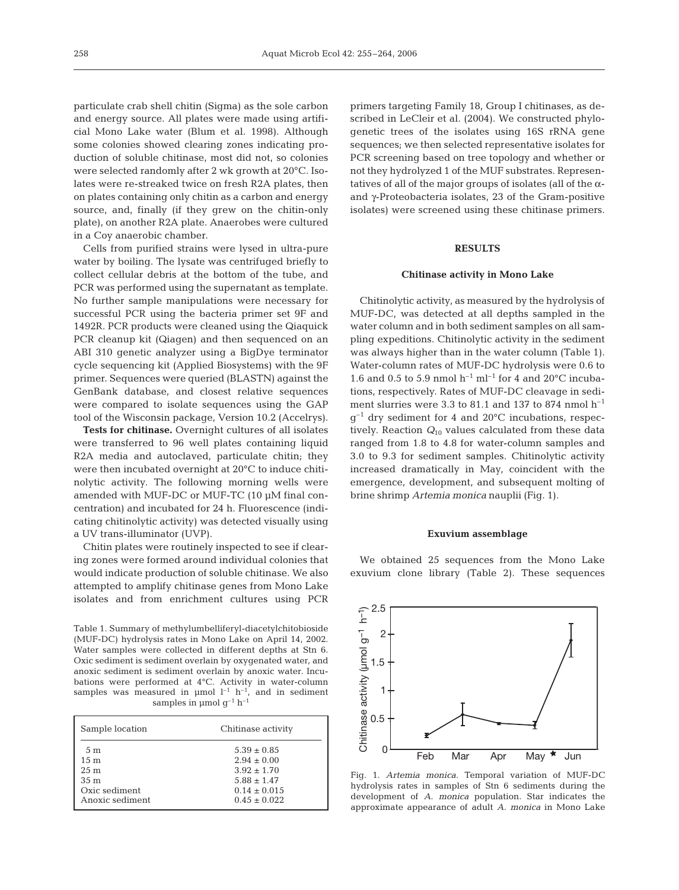particulate crab shell chitin (Sigma) as the sole carbon and energy source. All plates were made using artificial Mono Lake water (Blum et al. 1998). Although some colonies showed clearing zones indicating production of soluble chitinase, most did not, so colonies were selected randomly after 2 wk growth at 20°C. Isolates were re-streaked twice on fresh R2A plates, then on plates containing only chitin as a carbon and energy source, and, finally (if they grew on the chitin-only plate), on another R2A plate. Anaerobes were cultured in a Coy anaerobic chamber.

Cells from purified strains were lysed in ultra-pure water by boiling. The lysate was centrifuged briefly to collect cellular debris at the bottom of the tube, and PCR was performed using the supernatant as template. No further sample manipulations were necessary for successful PCR using the bacteria primer set 9F and 1492R. PCR products were cleaned using the Qiaquick PCR cleanup kit (Qiagen) and then sequenced on an ABI 310 genetic analyzer using a BigDye terminator cycle sequencing kit (Applied Biosystems) with the 9F primer. Sequences were queried (BLASTN) against the GenBank database, and closest relative sequences were compared to isolate sequences using the GAP tool of the Wisconsin package, Version 10.2 (Accelrys).

**Tests for chitinase.** Overnight cultures of all isolates were transferred to 96 well plates containing liquid R2A media and autoclaved, particulate chitin; they were then incubated overnight at 20°C to induce chitinolytic activity. The following morning wells were amended with MUF-DC or MUF-TC (10 µM final concentration) and incubated for 24 h. Fluorescence (indicating chitinolytic activity) was detected visually using a UV trans-illuminator (UVP).

Chitin plates were routinely inspected to see if clearing zones were formed around individual colonies that would indicate production of soluble chitinase. We also attempted to amplify chitinase genes from Mono Lake isolates and from enrichment cultures using PCR

Table 1. Summary of methylumbelliferyl-diacetylchitobioside (MUF-DC) hydrolysis rates in Mono Lake on April 14, 2002. Water samples were collected in different depths at Stn 6. Oxic sediment is sediment overlain by oxygenated water, and anoxic sediment is sediment overlain by anoxic water. Incubations were performed at 4°C. Activity in water-column samples was measured in  $\mu$ mol  $l^{-1}$  h<sup>-1</sup>, and in sediment samples in  $\upmu \text{mol g}^{-1}$   $\text{h}^{-1}$ 

| Sample location | Chitinase activity |
|-----------------|--------------------|
| 5 <sub>m</sub>  | $5.39 \pm 0.85$    |
| 15 <sub>m</sub> | $2.94 \pm 0.00$    |
| 25 <sub>m</sub> | $3.92 + 1.70$      |
| 35 <sub>m</sub> | $5.88 + 1.47$      |
| Oxic sediment   | $0.14 \pm 0.015$   |
| Anoxic sediment | $0.45 \pm 0.022$   |

primers targeting Family 18, Group I chitinases, as described in LeCleir et al. (2004). We constructed phylogenetic trees of the isolates using 16S rRNA gene sequences; we then selected representative isolates for PCR screening based on tree topology and whether or not they hydrolyzed 1 of the MUF substrates. Representatives of all of the major groups of isolates (all of the  $\alpha$ and γ-Proteobacteria isolates, 23 of the Gram-positive isolates) were screened using these chitinase primers.

## **RESULTS**

#### **Chitinase activity in Mono Lake**

Chitinolytic activity, as measured by the hydrolysis of MUF-DC, was detected at all depths sampled in the water column and in both sediment samples on all sampling expeditions. Chitinolytic activity in the sediment was always higher than in the water column (Table 1). Water-column rates of MUF-DC hydrolysis were 0.6 to 1.6 and 0.5 to 5.9 nmol  $h^{-1}$  ml<sup>-1</sup> for 4 and 20 $^{\circ}$ C incubations, respectively. Rates of MUF-DC cleavage in sediment slurries were 3.3 to 81.1 and 137 to 874 nmol  $h^{-1}$  $g^{-1}$  dry sediment for 4 and 20 $^{\circ}$ C incubations, respectively. Reaction *Q*<sup>10</sup> values calculated from these data ranged from 1.8 to 4.8 for water-column samples and 3.0 to 9.3 for sediment samples. Chitinolytic activity increased dramatically in May, coincident with the emergence, development, and subsequent molting of brine shrimp *Artemia monica* nauplii (Fig. 1).

#### **Exuvium assemblage**

We obtained 25 sequences from the Mono Lake exuvium clone library (Table 2). These sequences



Fig. 1. *Artemia monica*. Temporal variation of MUF-DC hydrolysis rates in samples of Stn 6 sediments during the development of *A. monica* population. Star indicates the approximate appearance of adult *A. monica* in Mono Lake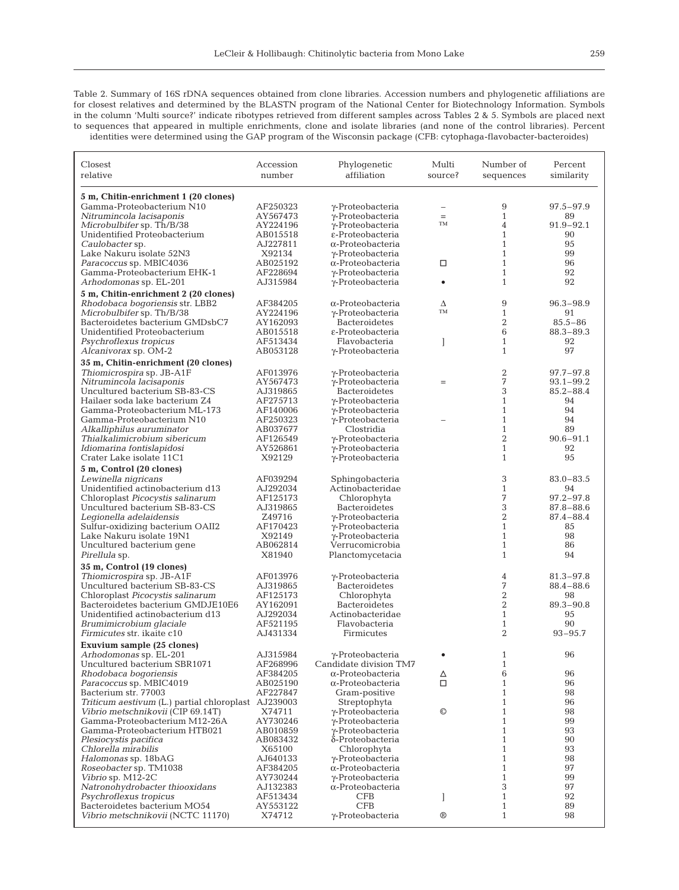Table 2. Summary of 16S rDNA sequences obtained from clone libraries. Accession numbers and phylogenetic affiliations are for closest relatives and determined by the BLASTN program of the National Center for Biotechnology Information. Symbols in the column 'Multi source?' indicate ribotypes retrieved from different samples across Tables 2 & 5. Symbols are placed next to sequences that appeared in multiple enrichments, clone and isolate libraries (and none of the control libraries). Percent identities were determined using the GAP program of the Wisconsin package (CFB: cytophaga-flavobacter-bacteroides)

| Closest                                                   | Accession            | Phylogenetic                                         | Multi             | Number of                      | Percent       |  |
|-----------------------------------------------------------|----------------------|------------------------------------------------------|-------------------|--------------------------------|---------------|--|
| relative                                                  | number               | affiliation                                          | source?           | sequences                      | similarity    |  |
| 5 m, Chitin-enrichment 1 (20 clones)                      |                      |                                                      |                   |                                |               |  |
| Gamma-Proteobacterium N10                                 | AF250323             | $\gamma$ -Proteobacteria                             | $\qquad \qquad -$ | 9                              | 97.5-97.9     |  |
| Nitrumincola lacisaponis                                  | AY567473             | $\gamma$ -Proteobacteria                             | $=$               | $\mathbf{1}$                   | 89            |  |
| Microbulbifer sp. Th/B/38                                 | AY224196             | γ-Proteobacteria                                     | <b>TM</b>         | 4                              | $91.9 - 92.1$ |  |
| Unidentified Proteobacterium                              | AB015518             | ε-Proteobacteria                                     |                   | $\mathbf{1}$                   | 90            |  |
| Caulobacter sp.                                           | AJ227811             | $\alpha$ -Proteobacteria                             |                   | $\mathbf{1}$                   | 95            |  |
| Lake Nakuru isolate 52N3                                  | X92134               | $\gamma$ -Proteobacteria                             |                   | $\mathbf{1}$                   | 99            |  |
| Paracoccus sp. MBIC4036                                   | AB025192             | $\alpha$ -Proteobacteria                             | □                 | $\mathbf{1}$                   | 96            |  |
| Gamma-Proteobacterium EHK-1                               | AF228694             | $\gamma$ -Proteobacteria                             |                   | $\mathbf{1}$                   | 92            |  |
| Arhodomonas sp. EL-201                                    | AJ315984             | $\gamma$ -Proteobacteria                             | $\bullet$         | $\mathbf{1}$                   | 92            |  |
| 5 m, Chitin-enrichment 2 (20 clones)                      |                      |                                                      |                   |                                |               |  |
| Rhodobaca bogoriensis str. LBB2                           | AF384205             | $\alpha$ -Proteobacteria                             | Δ                 | 9                              | $96.3 - 98.9$ |  |
| Microbulbifer sp. Th/B/38                                 | AY224196             | $\gamma$ -Proteobacteria                             | TM                | $\mathbf{1}$                   | 91            |  |
| Bacteroidetes bacterium GMDsbC7                           | AY162093             | <b>Bacteroidetes</b>                                 |                   | $\overline{2}$                 | $85.5 - 86$   |  |
| Unidentified Proteobacterium                              | AB015518             | ε-Proteobacteria                                     |                   | 6                              | $88.3 - 89.3$ |  |
| Psychroflexus tropicus                                    | AF513434             | Flavobacteria                                        |                   | $\mathbf{1}$                   | 92<br>97      |  |
| Alcanivorax sp. OM-2                                      | AB053128             | $\gamma$ -Proteobacteria                             |                   | $\mathbf{1}$                   |               |  |
| 35 m, Chitin-enrichment (20 clones)                       |                      |                                                      |                   |                                |               |  |
| Thiomicrospira sp. JB-A1F                                 | AF013976             | γ-Proteobacteria                                     |                   | 2                              | $97.7 - 97.8$ |  |
| Nitrumincola lacisaponis                                  | AY567473             | γ-Proteobacteria                                     | $=$               | 7                              | $93.1 - 99.2$ |  |
| Uncultured bacterium SB-83-CS                             | AJ319865             | <b>Bacteroidetes</b>                                 |                   | 3                              | $85.2 - 88.4$ |  |
| Hailaer soda lake bacterium Z4                            | AF275713             | γ-Proteobacteria                                     |                   | $\mathbf{1}$<br>$\mathbf{1}$   | 94<br>94      |  |
| Gamma-Proteobacterium ML-173<br>Gamma-Proteobacterium N10 | AF140006<br>AF250323 | $\gamma$ -Proteobacteria<br>$\gamma$ -Proteobacteria |                   | $\mathbf{1}$                   | 94            |  |
| Alkalliphilus auruminator                                 | AB037677             | Clostridia                                           |                   | $\mathbf{1}$                   | 89            |  |
| Thialkalimicrobium sibericum                              | AF126549             | $\gamma$ -Proteobacteria                             |                   | $\overline{2}$                 | $90.6 - 91.1$ |  |
| Idiomarina fontislapidosi                                 | AY526861             | $\gamma$ -Proteobacteria                             |                   | $\mathbf{1}$                   | 92            |  |
| Crater Lake isolate 11C1                                  | X92129               | γ-Proteobacteria                                     |                   | $\mathbf{1}$                   | 95            |  |
| 5 m, Control (20 clones)                                  |                      |                                                      |                   |                                |               |  |
| Lewinella nigricans                                       | AF039294             | Sphingobacteria                                      |                   | 3                              | $83.0 - 83.5$ |  |
| Unidentified actinobacterium d13                          | AJ292034             | Actinobacteridae                                     |                   | $\mathbf{1}$                   | 94            |  |
| Chloroplast Picocystis salinarum                          | AF125173             | Chlorophyta                                          |                   | 7                              | $97.2 - 97.8$ |  |
| Uncultured bacterium SB-83-CS                             | AJ319865             | <b>Bacteroidetes</b>                                 |                   | 3                              | 87.8-88.6     |  |
| Legionella adelaidensis                                   | Z49716               | $\gamma$ -Proteobacteria                             |                   | $\overline{c}$                 | 87.4-88.4     |  |
| Sulfur-oxidizing bacterium OAII2                          | AF170423             | $\gamma$ -Proteobacteria                             |                   | $\mathbf{1}$                   | 85            |  |
| Lake Nakuru isolate 19N1                                  | X92149               | $\gamma$ -Proteobacteria                             |                   | $\mathbf{1}$                   | 98            |  |
| Uncultured bacterium gene                                 | AB062814             | Verrucomicrobia                                      |                   | $\mathbf{1}$                   | 86            |  |
| Pirellula sp.                                             | X81940               | Planctomycetacia                                     |                   | $\mathbf{1}$                   | 94            |  |
| 35 m, Control (19 clones)                                 |                      |                                                      |                   |                                |               |  |
| Thiomicrospira sp. JB-A1F                                 | AF013976             | $\gamma$ -Proteobacteria                             |                   | 4                              | $81.3 - 97.8$ |  |
| Uncultured bacterium SB-83-CS                             | AJ319865             | <b>Bacteroidetes</b>                                 |                   | 7                              | $88.4 - 88.6$ |  |
| Chloroplast Picocystis salinarum                          | AF125173             | Chlorophyta                                          |                   | $\overline{2}$                 | 98            |  |
| Bacteroidetes bacterium GMDJE10E6                         | AY162091             | <b>Bacteroidetes</b>                                 |                   | $\overline{2}$                 | $89.3 - 90.8$ |  |
| Unidentified actinobacterium d13                          | AJ292034             | Actinobacteridae                                     |                   | $\mathbf{1}$                   | 95            |  |
| Brumimicrobium glaciale                                   | AF521195             | Flavobacteria                                        |                   | $\mathbf{1}$<br>$\overline{2}$ | 90            |  |
| Firmicutes str. ikaite c10                                | AJ431334             | Firmicutes                                           |                   |                                | $93 - 95.7$   |  |
| Exuvium sample (25 clones)                                |                      |                                                      |                   |                                |               |  |
| Arhodomonas sp. EL-201                                    | AJ315984             | $\gamma$ -Proteobacteria                             |                   | 1                              | 96            |  |
| Uncultured bacterium SBR1071                              | AF268996             | Candidate division TM7                               |                   | $\mathbf{1}$                   |               |  |
| Rhodobaca boqoriensis                                     | AF384205             | $\alpha$ -Proteobacteria                             | Δ                 | 6<br>$\mathbf{1}$              | 96            |  |
| Paracoccus sp. MBIC4019<br>Bacterium str. 77003           | AB025190<br>AF227847 | $\alpha$ -Proteobacteria<br>Gram-positive            | □                 | $\mathbf{1}$                   | 96<br>98      |  |
| Triticum aestivum (L.) partial chloroplast AJ239003       |                      | Streptophyta                                         |                   | $\mathbf{1}$                   | 96            |  |
| Vibrio metschnikovii (CIP 69.14T)                         | X74711               | γ-Proteobacteria                                     | $\circledcirc$    | $\mathbf{1}$                   | 98            |  |
| Gamma-Proteobacterium M12-26A                             | AY730246             | $\gamma$ -Proteobacteria                             |                   | $\mathbf{1}$                   | 99            |  |
| Gamma-Proteobacterium HTB021                              | AB010859             | $\gamma$ -Proteobacteria                             |                   | $\mathbf{1}$                   | 93            |  |
| Plesiocystis pacifica                                     | AB083432             | δ-Proteobacteria                                     |                   | $\mathbf{1}$                   | 90            |  |
| Chlorella mirabilis                                       | X65100               | Chlorophyta                                          |                   | $\mathbf{1}$                   | 93            |  |
| Halomonas sp. 18bAG                                       | AJ640133             | γ-Proteobacteria                                     |                   | $\mathbf{1}$                   | 98            |  |
| Roseobacter sp. TM1038                                    | AF384205             | $\alpha$ -Proteobacteria                             |                   | $\mathbf{1}$                   | 97            |  |
| Vibrio sp. M12-2C                                         | AY730244             | $\gamma$ -Proteobacteria                             |                   | $\mathbf{1}$                   | 99            |  |
| Natronohydrobacter thiooxidans                            | AJ132383             | $\alpha$ -Proteobacteria                             |                   | 3                              | 97            |  |
| Psychroflexus tropicus                                    | AF513434             | <b>CFB</b>                                           |                   | $\mathbf{1}$                   | 92            |  |
| Bacteroidetes bacterium MO54                              | AY553122             | CFB                                                  |                   | $\mathbf{1}$                   | 89            |  |
| Vibrio metschnikovii (NCTC 11170)                         | X74712               | $\gamma$ -Proteobacteria                             | $^{\circledR}$    | $\mathbf{1}$                   | 98            |  |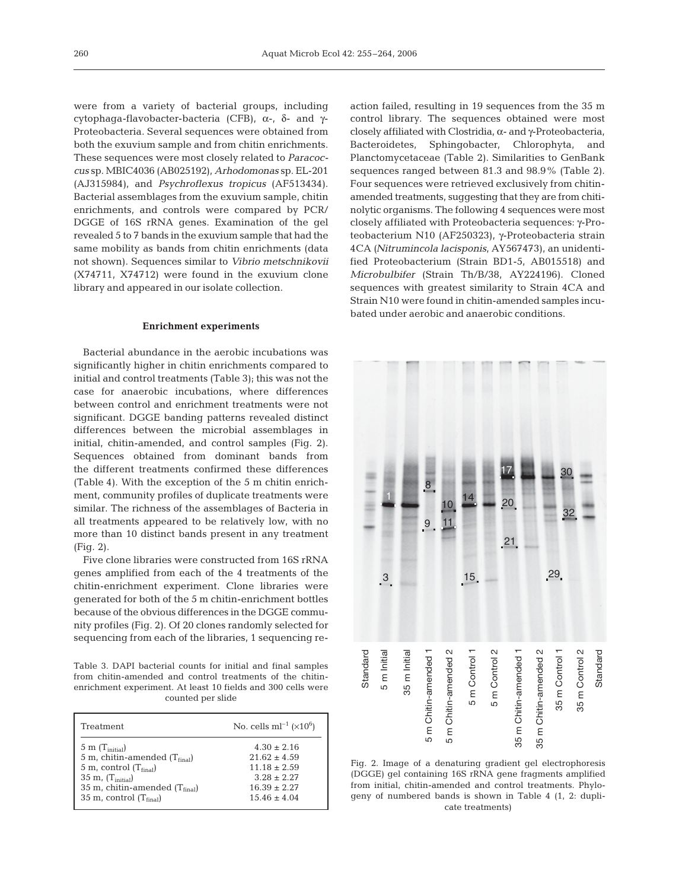were from a variety of bacterial groups, including cytophaga-flavobacter-bacteria (CFB), α-, δ- and γ-Proteobacteria. Several sequences were obtained from both the exuvium sample and from chitin enrichments. These sequences were most closely related to *Paracoccus* sp. MBIC4036 (AB025192), *Arhodomonas* sp. EL-201 (AJ315984), and *Psychroflexus tropicus* (AF513434). Bacterial assemblages from the exuvium sample, chitin enrichments, and controls were compared by PCR/ DGGE of 16S rRNA genes. Examination of the gel revealed 5 to 7 bands in the exuvium sample that had the same mobility as bands from chitin enrichments (data not shown). Sequences similar to *Vibrio metschnikovii* (X74711, X74712) were found in the exuvium clone library and appeared in our isolate collection.

#### **Enrichment experiments**

Bacterial abundance in the aerobic incubations was significantly higher in chitin enrichments compared to initial and control treatments (Table 3); this was not the case for anaerobic incubations, where differences between control and enrichment treatments were not significant. DGGE banding patterns revealed distinct differences between the microbial assemblages in initial, chitin-amended, and control samples (Fig. 2). Sequences obtained from dominant bands from the different treatments confirmed these differences (Table 4). With the exception of the 5 m chitin enrichment, community profiles of duplicate treatments were similar. The richness of the assemblages of Bacteria in all treatments appeared to be relatively low, with no more than 10 distinct bands present in any treatment (Fig. 2).

Five clone libraries were constructed from 16S rRNA genes amplified from each of the 4 treatments of the chitin-enrichment experiment. Clone libraries were generated for both of the 5 m chitin-enrichment bottles because of the obvious differences in the DGGE community profiles (Fig. 2). Of 20 clones randomly selected for sequencing from each of the libraries, 1 sequencing re-

Table 3. DAPI bacterial counts for initial and final samples from chitin-amended and control treatments of the chitinenrichment experiment. At least 10 fields and 300 cells were counted per slide

| Treatment                             | No. cells ml <sup>-1</sup> ( $\times$ 10 <sup>6</sup> ) |
|---------------------------------------|---------------------------------------------------------|
| $5 \text{ m}$ (T <sub>initial</sub> ) | $4.30 \pm 2.16$                                         |
| 5 m, chitin-amended $(T_{final})$     | $21.62 + 4.59$                                          |
| 5 m, control $(T_{final})$            | $11.18 + 2.59$                                          |
| $35 \text{ m}$ , $(T_{initial})$      | $3.28 + 2.27$                                           |
| 35 m, chitin-amended $(T_{final})$    | $16.39 + 2.27$                                          |
| 35 m, control $(Tfinal)$              | $15.46 + 4.04$                                          |

action failed, resulting in 19 sequences from the 35 m control library. The sequences obtained were most closely affiliated with Clostridia, α- and γ-Proteobacteria, Bacteroidetes, Sphingobacter, Chlorophyta, and Planctomycetaceae (Table 2). Similarities to GenBank sequences ranged between 81.3 and 98.9% (Table 2). Four sequences were retrieved exclusively from chitinamended treatments, suggesting that they are from chitinolytic organisms. The following 4 sequences were most closely affiliated with Proteobacteria sequences: γ-Proteobacterium N10 (AF250323), γ-Proteobacteria strain 4CA *(Nitrumincola lacisponis*, AY567473), an unidentified Proteobacterium (Strain BD1-5, AB015518) and *Microbulbifer* (Strain Th/B/38, AY224196). Cloned sequences with greatest similarity to Strain 4CA and Strain N10 were found in chitin-amended samples incubated under aerobic and anaerobic conditions.



Fig. 2. Image of a denaturing gradient gel electrophoresis (DGGE) gel containing 16S rRNA gene fragments amplified from initial, chitin-amended and control treatments. Phylogeny of numbered bands is shown in Table 4 (1, 2: duplicate treatments)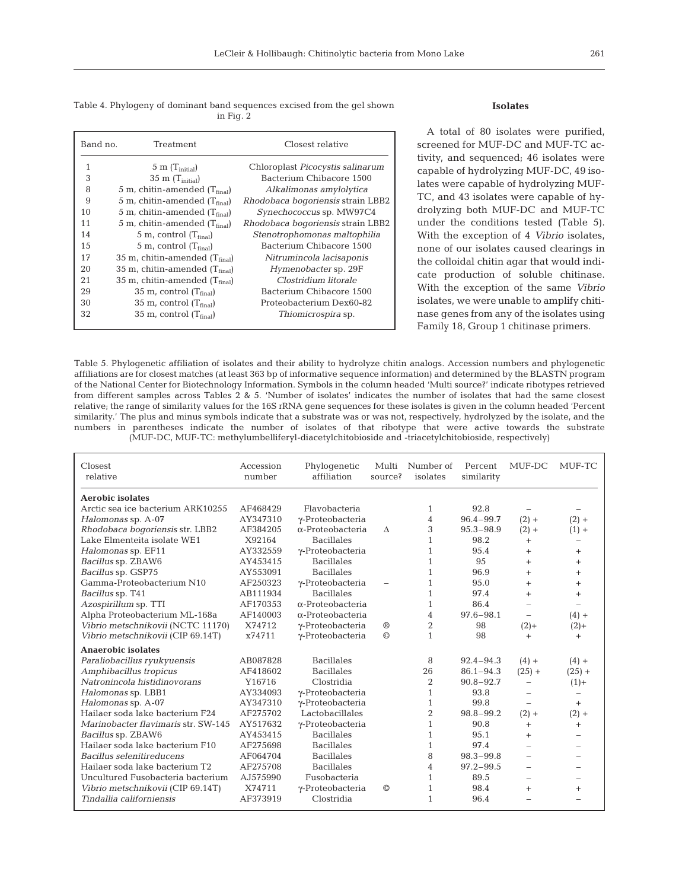Table 4. Phylogeny of dominant band sequences excised from the gel shown in Fig. 2

| Band no. | Treatment                              | Closest relative                  |
|----------|----------------------------------------|-----------------------------------|
| 1        | $5 \text{ m}$ (T <sub>initial</sub> )  | Chloroplast Picocystis salinarum  |
| 3        | $35 \text{ m}$ (T <sub>initial</sub> ) | Bacterium Chibacore 1500          |
| 8        | 5 m, chitin-amended $(Tfinal)$         | Alkalimonas amylolytica           |
| 9        | 5 m, chitin-amended $(T_{final})$      | Rhodobaca bogoriensis strain LBB2 |
| 10       | 5 m, chitin-amended $(Tfinal)$         | Synechococcus sp. MW97C4          |
| 11       | 5 m, chitin-amended $(Tfinal)$         | Rhodobaca bogoriensis strain LBB2 |
| 14       | 5 m, control $(T_{final})$             | Stenotrophomonas maltophilia      |
| 1.5      | 5 m, control $(T_{final})$             | Bacterium Chibacore 1500          |
| 17       | 35 m, chitin-amended $(T_{final})$     | Nitrumincola lacisaponis          |
| 20       | 35 m, chitin-amended $(T_{final})$     | Hymenobacter sp. 29F              |
| 21       | 35 m, chitin-amended $(T_{final})$     | Clostridium litorale              |
| 29       | 35 m, control $(T_{final})$            | Bacterium Chibacore 1500          |
| 30       | 35 m, control $(T_{final})$            | Proteobacterium Dex60-82          |
| 32       | 35 m, control $(T_{final})$            | Thiomicrospira sp.                |

## **Isolates**

A total of 80 isolates were purified, screened for MUF-DC and MUF-TC activity, and sequenced; 46 isolates were capable of hydrolyzing MUF-DC, 49 isolates were capable of hydrolyzing MUF-TC, and 43 isolates were capable of hydrolyzing both MUF-DC and MUF-TC under the conditions tested (Table 5). With the exception of 4 *Vibrio* isolates, none of our isolates caused clearings in the colloidal chitin agar that would indicate production of soluble chitinase. With the exception of the same *Vibrio* isolates, we were unable to amplify chitinase genes from any of the isolates using Family 18, Group 1 chitinase primers.

Table 5. Phylogenetic affiliation of isolates and their ability to hydrolyze chitin analogs. Accession numbers and phylogenetic affiliations are for closest matches (at least 363 bp of informative sequence information) and determined by the BLASTN program of the National Center for Biotechnology Information. Symbols in the column headed 'Multi source?' indicate ribotypes retrieved from different samples across Tables 2 & 5. 'Number of isolates' indicates the number of isolates that had the same closest relative; the range of similarity values for the 16S rRNA gene sequences for these isolates is given in the column headed 'Percent similarity.' The plus and minus symbols indicate that a substrate was or was not, respectively, hydrolyzed by the isolate, and the numbers in parentheses indicate the number of isolates of that ribotype that were active towards the substrate (MUF-DC, MUF-TC: methylumbelliferyl-diacetylchitobioside and -triacetylchitobioside, respectively)

| Closest<br>relative                 | Accession<br>number | Phylogenetic<br>affiliation | Multi<br>source?         | Number of<br>isolates | Percent<br>similarity | MUF-DC                   | MUF-TC   |
|-------------------------------------|---------------------|-----------------------------|--------------------------|-----------------------|-----------------------|--------------------------|----------|
| <b>Aerobic isolates</b>             |                     |                             |                          |                       |                       |                          |          |
| Arctic sea ice bacterium ARK10255   | AF468429            | Flavobacteria               |                          | $\mathbf{1}$          | 92.8                  |                          |          |
| Halomonas sp. A-07                  | AY347310            | γ-Proteobacteria            |                          | 4                     | $96.4 - 99.7$         | $(2) +$                  | $(2) +$  |
| Rhodobaca boqoriensis str. LBB2     | AF384205            | $\alpha$ -Proteobacteria    | Δ                        | 3                     | $95.3 - 98.9$         | $(2) +$                  | $(1) +$  |
| Lake Elmenteita isolate WE1         | X92164              | <b>Bacillales</b>           |                          | 1                     | 98.2                  | $^{+}$                   |          |
| Halomonas sp. EF11                  | AY332559            | γ-Proteobacteria            |                          | 1                     | 95.4                  | $^{+}$                   | $^{+}$   |
| Bacillus sp. ZBAW6                  | AY453415            | <b>Bacillales</b>           |                          | 1                     | 95                    | $+$                      | $^{+}$   |
| Bacillus sp. GSP75                  | AY553091            | <b>Bacillales</b>           |                          | 1                     | 96.9                  | $+$                      | $^{+}$   |
| Gamma-Proteobacterium N10           | AF250323            | $\gamma$ -Proteobacteria    | $\overline{\phantom{0}}$ | 1                     | 95.0                  | $+$                      | $+$      |
| Bacillus sp. T41                    | AB111934            | <b>Bacillales</b>           |                          | 1                     | 97.4                  | $+$                      | $+$      |
| Azospirillum sp. TTI                | AF170353            | $\alpha$ -Proteobacteria    |                          | $\mathbf{1}$          | 86.4                  | $\overline{\phantom{0}}$ |          |
| Alpha Proteobacterium ML-168a       | AF140003            | $\alpha$ -Proteobacteria    |                          | 4                     | $97.6 - 98.1$         | ÷,                       | $(4) +$  |
| Vibrio metschnikovii (NCTC 11170)   | X74712              | $\gamma$ -Proteobacteria    | $^{\circledR}$           | $\overline{2}$        | 98                    | $(2) +$                  | $(2) +$  |
| Vibrio metschnikovii (CIP 69.14T)   | x74711              | $\gamma$ -Proteobacteria    | $\odot$                  | 1                     | 98                    | $+$                      | $^{+}$   |
| <b>Anaerobic isolates</b>           |                     |                             |                          |                       |                       |                          |          |
| Paraliobacillus ryukyuensis         | AB087828            | <b>Bacillales</b>           |                          | 8                     | $92.4 - 94.3$         | $(4) +$                  | $(4) +$  |
| Amphibacillus tropicus              | AF418602            | <b>Bacillales</b>           |                          | 26                    | $86.1 - 94.3$         | $(25) +$                 | $(25) +$ |
| Natronincola histidinovorans        | Y16716              | Clostridia                  |                          | 2                     | $90.8 - 92.7$         | $\overline{\phantom{0}}$ | $(1) +$  |
| Halomonas sp. LBB1                  | AY334093            | $\gamma$ -Proteobacteria    |                          | 1                     | 93.8                  | $\overline{\phantom{0}}$ |          |
| Halomonas sp. A-07                  | AY347310            | $\gamma$ -Proteobacteria    |                          | $\mathbf{1}$          | 99.8                  | $\overline{\phantom{0}}$ | $+$      |
| Hailaer soda lake bacterium F24     | AF275702            | Lactobacillales             |                          | 2                     | $98.8 - 99.2$         | $(2) +$                  | $(2) +$  |
| Marinobacter flavimaris str. SW-145 | AY517632            | $\gamma$ -Proteobacteria    |                          | 1                     | 90.8                  | $^{+}$                   | $^{+}$   |
| Bacillus sp. ZBAW6                  | AY453415            | <b>Bacillales</b>           |                          | 1                     | 95.1                  | $+$                      |          |
| Hailaer soda lake bacterium F10     | AF275698            | <b>Bacillales</b>           |                          | 1                     | 97.4                  |                          |          |
| Bacillus selenitireducens           | AF064704            | <b>Bacillales</b>           |                          | 8                     | $98.3 - 99.8$         | $\overline{\phantom{0}}$ |          |
| Hailaer soda lake bacterium T2      | AF275708            | <b>Bacillales</b>           |                          | 4                     | $97.2 - 99.5$         | $\overline{\phantom{0}}$ |          |
| Uncultured Fusobacteria bacterium   | AJ575990            | Fusobacteria                |                          | 1                     | 89.5                  | $\overline{\phantom{0}}$ |          |
| Vibrio metschnikovii (CIP 69.14T)   | X74711              | $\gamma$ -Proteobacteria    | $\circledcirc$           | $\mathbf{1}$          | 98.4                  | $+$                      | $^{+}$   |
| Tindallia californiensis            | AF373919            | Clostridia                  |                          | 1                     | 96.4                  |                          |          |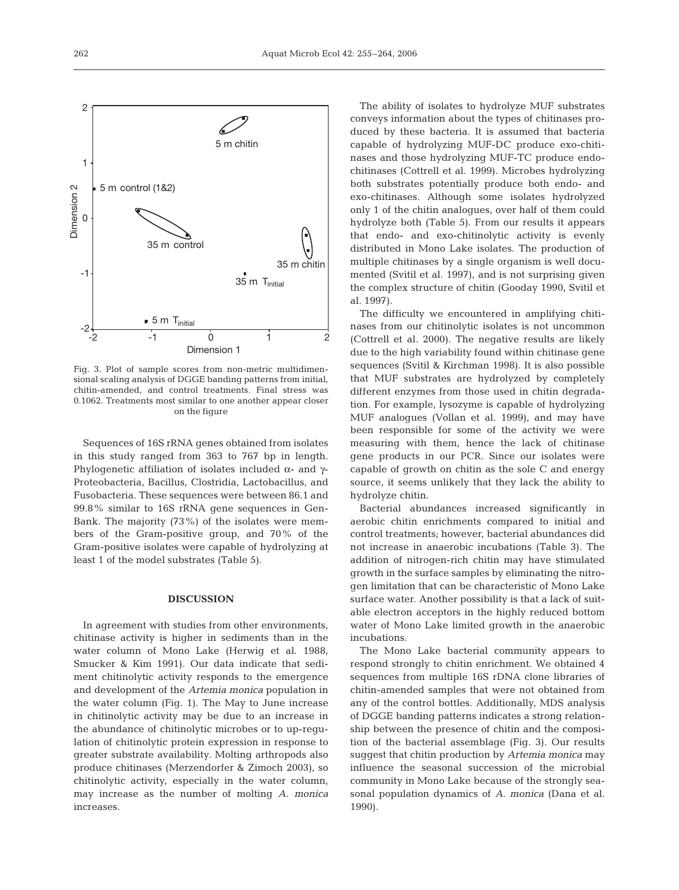

Fig. 3. Plot of sample scores from non-metric multidimensional scaling analysis of DGGE banding patterns from initial, chitin-amended, and control treatments. Final stress was 0.1062. Treatments most similar to one another appear closer on the figure

Sequences of 16S rRNA genes obtained from isolates in this study ranged from 363 to 767 bp in length. Phylogenetic affiliation of isolates included  $\alpha$ - and γ-Proteobacteria, Bacillus, Clostridia, Lactobacillus, and Fusobacteria. These sequences were between 86.1 and 99.8% similar to 16S rRNA gene sequences in Gen-Bank. The majority (73%) of the isolates were members of the Gram-positive group, and 70% of the Gram-positive isolates were capable of hydrolyzing at least 1 of the model substrates (Table 5).

## **DISCUSSION**

In agreement with studies from other environments, chitinase activity is higher in sediments than in the water column of Mono Lake (Herwig et al. 1988, Smucker & Kim 1991). Our data indicate that sediment chitinolytic activity responds to the emergence and development of the *Artemia monica* population in the water column (Fig. 1). The May to June increase in chitinolytic activity may be due to an increase in the abundance of chitinolytic microbes or to up-regulation of chitinolytic protein expression in response to greater substrate availability. Molting arthropods also produce chitinases (Merzendorfer & Zimoch 2003), so chitinolytic activity, especially in the water column, may increase as the number of molting *A. monica* increases.

The ability of isolates to hydrolyze MUF substrates conveys information about the types of chitinases produced by these bacteria. It is assumed that bacteria capable of hydrolyzing MUF-DC produce exo-chitinases and those hydrolyzing MUF-TC produce endochitinases (Cottrell et al. 1999). Microbes hydrolyzing both substrates potentially produce both endo- and exo-chitinases. Although some isolates hydrolyzed only 1 of the chitin analogues, over half of them could hydrolyze both (Table 5). From our results it appears that endo- and exo-chitinolytic activity is evenly distributed in Mono Lake isolates. The production of multiple chitinases by a single organism is well documented (Svitil et al. 1997), and is not surprising given the complex structure of chitin (Gooday 1990, Svitil et al. 1997).

The difficulty we encountered in amplifying chitinases from our chitinolytic isolates is not uncommon (Cottrell et al. 2000). The negative results are likely due to the high variability found within chitinase gene sequences (Svitil & Kirchman 1998). It is also possible that MUF substrates are hydrolyzed by completely different enzymes from those used in chitin degradation. For example, lysozyme is capable of hydrolyzing MUF analogues (Vollan et al. 1999), and may have been responsible for some of the activity we were measuring with them, hence the lack of chitinase gene products in our PCR. Since our isolates were capable of growth on chitin as the sole C and energy source, it seems unlikely that they lack the ability to hydrolyze chitin.

Bacterial abundances increased significantly in aerobic chitin enrichments compared to initial and control treatments; however, bacterial abundances did not increase in anaerobic incubations (Table 3). The addition of nitrogen-rich chitin may have stimulated growth in the surface samples by eliminating the nitrogen limitation that can be characteristic of Mono Lake surface water. Another possibility is that a lack of suitable electron acceptors in the highly reduced bottom water of Mono Lake limited growth in the anaerobic incubations.

The Mono Lake bacterial community appears to respond strongly to chitin enrichment. We obtained 4 sequences from multiple 16S rDNA clone libraries of chitin-amended samples that were not obtained from any of the control bottles. Additionally, MDS analysis of DGGE banding patterns indicates a strong relationship between the presence of chitin and the composition of the bacterial assemblage (Fig. 3). Our results suggest that chitin production by *Artemia monica* may influence the seasonal succession of the microbial community in Mono Lake because of the strongly seasonal population dynamics of *A. monica* (Dana et al. 1990).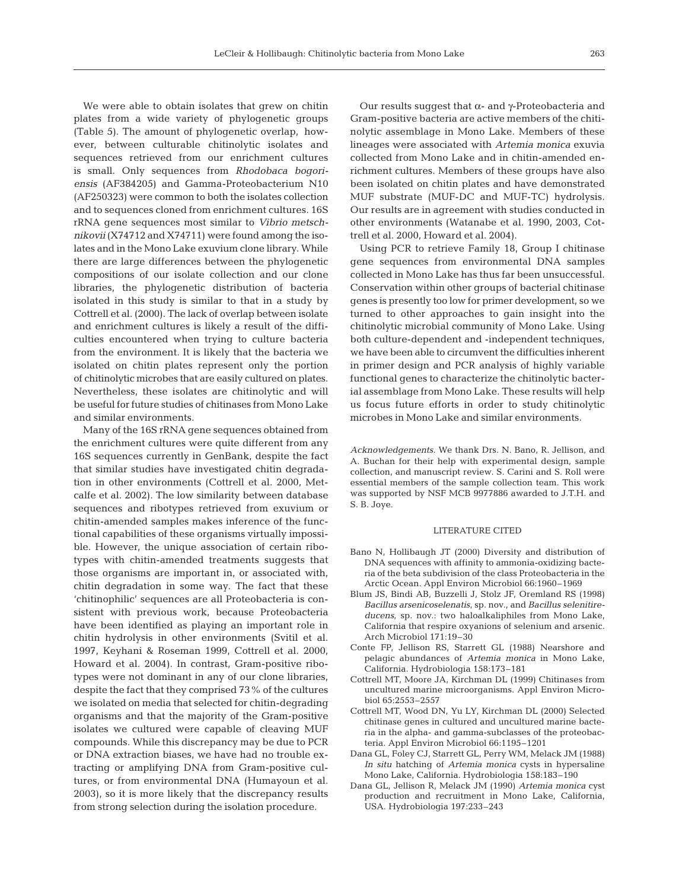We were able to obtain isolates that grew on chitin plates from a wide variety of phylogenetic groups (Table 5). The amount of phylogenetic overlap, however, between culturable chitinolytic isolates and sequences retrieved from our enrichment cultures is small. Only sequences from *Rhodobaca bogoriensis* (AF384205) and Gamma-Proteobacterium N10 (AF250323) were common to both the isolates collection and to sequences cloned from enrichment cultures. 16S rRNA gene sequences most similar to *Vibrio metschnikovii* (X74712 and X74711) were found among the isolates and in the Mono Lake exuvium clone library. While there are large differences between the phylogenetic compositions of our isolate collection and our clone libraries, the phylogenetic distribution of bacteria isolated in this study is similar to that in a study by Cottrell et al. (2000). The lack of overlap between isolate and enrichment cultures is likely a result of the difficulties encountered when trying to culture bacteria from the environment. It is likely that the bacteria we isolated on chitin plates represent only the portion of chitinolytic microbes that are easily cultured on plates. Nevertheless, these isolates are chitinolytic and will be useful for future studies of chitinases from Mono Lake and similar environments.

Many of the 16S rRNA gene sequences obtained from the enrichment cultures were quite different from any 16S sequences currently in GenBank, despite the fact that similar studies have investigated chitin degradation in other environments (Cottrell et al. 2000, Metcalfe et al. 2002). The low similarity between database sequences and ribotypes retrieved from exuvium or chitin-amended samples makes inference of the functional capabilities of these organisms virtually impossible. However, the unique association of certain ribotypes with chitin-amended treatments suggests that those organisms are important in, or associated with, chitin degradation in some way. The fact that these 'chitinophilic' sequences are all Proteobacteria is consistent with previous work, because Proteobacteria have been identified as playing an important role in chitin hydrolysis in other environments (Svitil et al. 1997, Keyhani & Roseman 1999, Cottrell et al. 2000, Howard et al. 2004). In contrast, Gram-positive ribotypes were not dominant in any of our clone libraries, despite the fact that they comprised 73% of the cultures we isolated on media that selected for chitin-degrading organisms and that the majority of the Gram-positive isolates we cultured were capable of cleaving MUF compounds. While this discrepancy may be due to PCR or DNA extraction biases, we have had no trouble extracting or amplifying DNA from Gram-positive cultures, or from environmental DNA (Humayoun et al. 2003), so it is more likely that the discrepancy results from strong selection during the isolation procedure.

Our results suggest that α- and γ-Proteobacteria and Gram-positive bacteria are active members of the chitinolytic assemblage in Mono Lake. Members of these lineages were associated with *Artemia monica* exuvia collected from Mono Lake and in chitin-amended enrichment cultures. Members of these groups have also been isolated on chitin plates and have demonstrated MUF substrate (MUF-DC and MUF-TC) hydrolysis. Our results are in agreement with studies conducted in other environments (Watanabe et al. 1990, 2003, Cottrell et al. 2000, Howard et al. 2004).

Using PCR to retrieve Family 18, Group I chitinase gene sequences from environmental DNA samples collected in Mono Lake has thus far been unsuccessful. Conservation within other groups of bacterial chitinase genes is presently too low for primer development, so we turned to other approaches to gain insight into the chitinolytic microbial community of Mono Lake. Using both culture-dependent and -independent techniques, we have been able to circumvent the difficulties inherent in primer design and PCR analysis of highly variable functional genes to characterize the chitinolytic bacterial assemblage from Mono Lake. These results will help us focus future efforts in order to study chitinolytic microbes in Mono Lake and similar environments.

*Acknowledgements.* We thank Drs. N. Bano, R. Jellison, and A. Buchan for their help with experimental design, sample collection, and manuscript review. S. Carini and S. Roll were essential members of the sample collection team. This work was supported by NSF MCB 9977886 awarded to J.T.H. and S. B. Joye.

## LITERATURE CITED

- Bano N, Hollibaugh JT (2000) Diversity and distribution of DNA sequences with affinity to ammonia-oxidizing bacteria of the beta subdivision of the class Proteobacteria in the Arctic Ocean. Appl Environ Microbiol 66:1960–1969
- Blum JS, Bindi AB, Buzzelli J, Stolz JF, Oremland RS (1998) *Bacillus arsenicoselenatis*, sp. nov., and *Bacillus selenitireducens*, sp. nov.: two haloalkaliphiles from Mono Lake, California that respire oxyanions of selenium and arsenic. Arch Microbiol 171:19–30
- Conte FP, Jellison RS, Starrett GL (1988) Nearshore and pelagic abundances of *Artemia monica* in Mono Lake, California. Hydrobiologia 158:173–181
- Cottrell MT, Moore JA, Kirchman DL (1999) Chitinases from uncultured marine microorganisms. Appl Environ Microbiol 65:2553–2557
- Cottrell MT, Wood DN, Yu LY, Kirchman DL (2000) Selected chitinase genes in cultured and uncultured marine bacteria in the alpha- and gamma-subclasses of the proteobacteria. Appl Environ Microbiol 66:1195–1201
- Dana GL, Foley CJ, Starrett GL, Perry WM, Melack JM (1988) *In situ* hatching of *Artemia monica* cysts in hypersaline Mono Lake, California. Hydrobiologia 158:183–190
- Dana GL, Jellison R, Melack JM (1990) *Artemia monica* cyst production and recruitment in Mono Lake, California, USA. Hydrobiologia 197:233–243